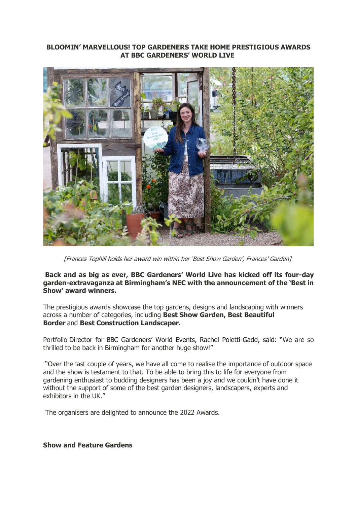#### **BLOOMIN' MARVELLOUS! TOP GARDENERS TAKE HOME PRESTIGIOUS AWARDS AT BBC GARDENERS' WORLD LIVE**



[Frances Tophill holds her award win within her 'Best Show Garden', Frances' Garden]

**Back and as big as ever, BBC Gardeners' World Live has kicked off its four-day garden-extravaganza at Birmingham's NEC with the announcement of the 'Best in Show' award winners.**

The prestigious awards showcase the top gardens, designs and landscaping with winners across a number of categories, including **Best Show Garden, Best Beautiful Border** and **Best Construction Landscaper.**

Portfolio Director for BBC Gardeners' World Events, Rachel Poletti-Gadd, said: "We are so thrilled to be back in Birmingham for another huge show!"

"Over the last couple of years, we have all come to realise the importance of outdoor space and the show is testament to that. To be able to bring this to life for everyone from gardening enthusiast to budding designers has been a joy and we couldn't have done it without the support of some of the best garden designers, landscapers, experts and exhibitors in the UK."

The organisers are delighted to announce the 2022 Awards.

**Show and Feature Gardens**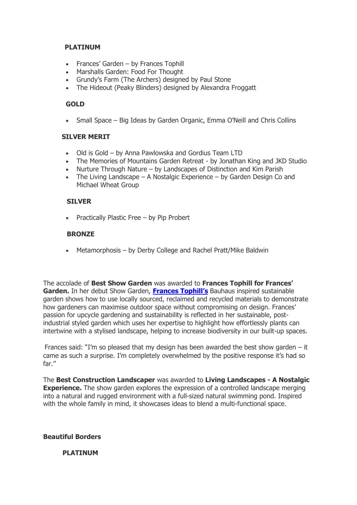## **PLATINUM**

- Frances' Garden by Frances Tophill
- Marshalls Garden: Food For Thought
- Grundy's Farm (The Archers) designed by Paul Stone
- The Hideout (Peaky Blinders) designed by Alexandra Froggatt

## **GOLD**

• Small Space – Big Ideas by Garden Organic, Emma O'Neill and Chris Collins

#### **SILVER MERIT**

- Old is Gold by Anna Pawlowska and Gordius Team LTD
- The Memories of Mountains Garden Retreat by Jonathan King and JKD Studio
- Nurture Through Nature by Landscapes of Distinction and Kim Parish
- The Living Landscape  $A$  Nostalgic Experience  $-$  by Garden Design Co and Michael Wheat Group

# **SILVER**

• Practically Plastic Free – by Pip Probert

## **BRONZE**

• Metamorphosis – by Derby College and Rachel Pratt/Mike Baldwin

The accolade of **Best Show Garden** was awarded to **Frances Tophill for Frances' Garden.** In her debut Show Garden, **Fra[nces Tophill's](https://protect-eu.mimecast.com/s/ecEsC5WKkF0Lxz0sOXbiw?domain=nam12.safelinks.protection.outlook.com)** Bauhaus inspired sustainable garden shows how to use locally sourced, reclaimed and recycled materials to demonstrate how gardeners can maximise outdoor space without compromising on design. Frances' passion for upcycle gardening and sustainability is reflected in her sustainable, postindustrial styled garden which uses her expertise to highlight how effortlessly plants can intertwine with a stylised landscape, helping to increase biodiversity in our built-up spaces.

Frances said: "I'm so pleased that my design has been awarded the best show garden  $-$  it came as such a surprise. I'm completely overwhelmed by the positive response it's had so far."

The **Best Construction Landscaper** was awarded to **Living Landscapes - A Nostalgic Experience.** The show garden explores the expression of a controlled landscape merging into a natural and rugged environment with a full-sized natural swimming pond. Inspired with the whole family in mind, it showcases ideas to blend a multi-functional space.

# **Beautiful Borders**

# **PLATINUM**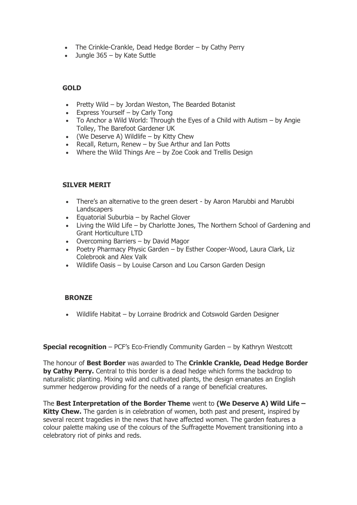- The Crinkle-Crankle, Dead Hedge Border by Cathy Perry
- Jungle 365 by Kate Suttle

# **GOLD**

- Pretty Wild by Jordan Weston, The Bearded Botanist
- Express Yourself by Carly Tong
- To Anchor a Wild World: Through the Eyes of a Child with Autism by Angie Tolley, The Barefoot Gardener UK
- (We Deserve A) Wildlife by Kitty Chew
- Recall, Return, Renew by Sue Arthur and Ian Potts
- Where the Wild Things Are by Zoe Cook and Trellis Design

## **SILVER MERIT**

- There's an alternative to the green desert by Aaron Marubbi and Marubbi **Landscapers**
- Equatorial Suburbia by Rachel Glover
- Living the Wild Life by Charlotte Jones, The Northern School of Gardening and Grant Horticulture LTD
- Overcoming Barriers by David Magor
- Poetry Pharmacy Physic Garden by Esther Cooper-Wood, Laura Clark, Liz Colebrook and Alex Valk
- Wildlife Oasis by Louise Carson and Lou Carson Garden Design

# **BRONZE**

• Wildlife Habitat – by Lorraine Brodrick and Cotswold Garden Designer

**Special recognition** – PCF's Eco-Friendly Community Garden – by Kathryn Westcott

The honour of **Best Border** was awarded to The **Crinkle Crankle, Dead Hedge Border by Cathy Perry.** Central to this border is a dead hedge which forms the backdrop to naturalistic planting. Mixing wild and cultivated plants, the design emanates an English summer hedgerow providing for the needs of a range of beneficial creatures.

The **Best Interpretation of the Border Theme** went to **(We Deserve A) Wild Life – Kitty Chew.** The garden is in celebration of women, both past and present, inspired by several recent tragedies in the news that have affected women. The garden features a colour palette making use of the colours of the Suffragette Movement transitioning into a celebratory riot of pinks and reds.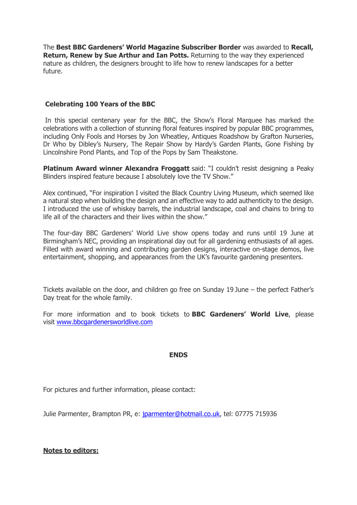The **Best BBC Gardeners' World Magazine Subscriber Border** was awarded to **Recall, Return, Renew by Sue Arthur and Ian Potts.** Returning to the way they experienced nature as children, the designers brought to life how to renew landscapes for a better future.

### **Celebrating 100 Years of the BBC**

In this special centenary year for the BBC, the Show's Floral Marquee has marked the celebrations with a collection of stunning floral features inspired by popular BBC programmes, including Only Fools and Horses by Jon Wheatley, Antiques Roadshow by Grafton Nurseries, Dr Who by Dibley's Nursery, The Repair Show by Hardy's Garden Plants, Gone Fishing by Lincolnshire Pond Plants, and Top of the Pops by Sam Theakstone.

**Platinum Award winner Alexandra Froggatt** said: "I couldn't resist designing a Peaky Blinders inspired feature because I absolutely love the TV Show."

Alex continued, "For inspiration I visited the Black Country Living Museum, which seemed like a natural step when building the design and an effective way to add authenticity to the design. I introduced the use of whiskey barrels, the industrial landscape, coal and chains to bring to life all of the characters and their lives within the show."

The four-day BBC Gardeners' World Live show opens today and runs until 19 June at Birmingham's NEC, providing an inspirational day out for all gardening enthusiasts of all ages. Filled with award winning and contributing garden designs, interactive on-stage demos, live entertainment, shopping, and appearances from the UK's favourite gardening presenters.

Tickets available on the door, and children go free on Sunday 19 June – the perfect Father's Day treat for the whole family.

For more information and to book tickets to **BBC Gardeners' World Live**, please visit [www.bbcgardenersworldlive.com](https://protect-eu.mimecast.com/s/68nGC7AVmSm1Q0mhNDQ36?domain=nam12.safelinks.protection.outlook.com)

#### **ENDS**

For pictures and further information, please contact:

Julie Parmenter, Brampton PR, e: [jparmenter@hotmail.co.uk,](mailto:jparmenter@hotmail.co.uk) tel: 07775 715936

#### **Notes to editors:**